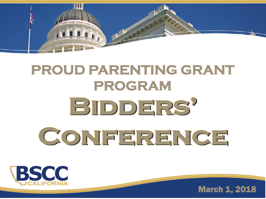

## **PROUD PARENTING GRANT PROGRAM** BIDDERS' CONFERENCE



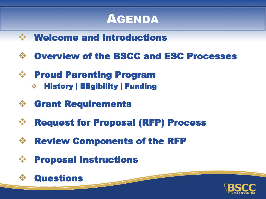#### AGENDA

- ❖ Welcome and Introductions
- ❖ Overview of the BSCC and ESC Processes
- ❖ Proud Parenting Program
	- ❖ History | Eligibility | Funding
- ❖ Grant Requirements
- ❖ Request for Proposal (RFP) Process
- ❖ Review Components of the RFP
- ❖ Proposal Instructions



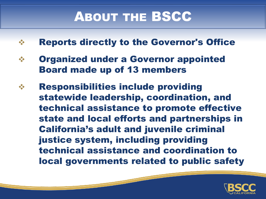## ABOUT THE BSCC

- ❖ Reports directly to the Governor's Office
- ❖ Organized under a Governor appointed Board made up of 13 members
- ❖ Responsibilities include providing statewide leadership, coordination, and technical assistance to promote effective state and local efforts and partnerships in California's adult and juvenile criminal justice system, including providing technical assistance and coordination to local governments related to public safety

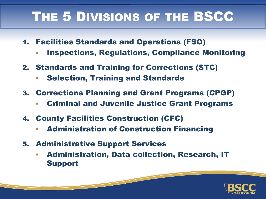## THE 5 DIVISIONS OF THE BSCC

- 1. Facilities Standards and Operations (FSO)
	- **Inspections, Regulations, Compliance Monitoring**
- 2. Standards and Training for Corrections (STC)
	- **Selection, Training and Standards**
- 3. Corrections Planning and Grant Programs (CPGP)
	- **Criminal and Juvenile Justice Grant Programs**
- 4. County Facilities Construction (CFC)
	- **EXET Administration of Construction Financing**
- 5. Administrative Support Services
	- **Administration, Data collection, Research, IT** Support

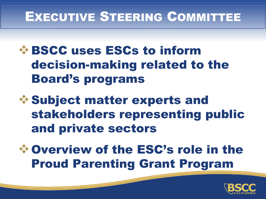#### EXECUTIVE STEERING COMMITTEE

#### ❖BSCC uses ESCs to inform decision-making related to the Board's programs

❖Subject matter experts and stakeholders representing public and private sectors

❖Overview of the ESC's role in the Proud Parenting Grant Program

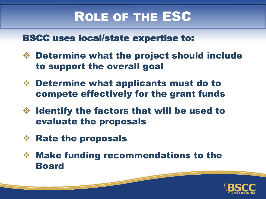#### ROLE OF THE ESC

#### BSCC uses local/state expertise to:

- ❖ Determine what the project should include to support the overall goal
- ❖ Determine what applicants must do to compete effectively for the grant funds
- ❖ Identify the factors that will be used to evaluate the proposals
- ❖ Rate the proposals
- ❖ Make funding recommendations to the Board

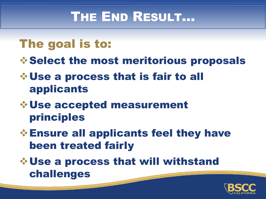## THE END RESULT…

#### The goal is to:

❖Select the most meritorious proposals

#### ❖Use a process that is fair to all applicants

#### ❖Use accepted measurement principles

❖Ensure all applicants feel they have been treated fairly

❖Use a process that will withstand challenges

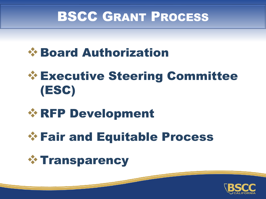#### BSCC GRANT PROCESS



## ❖Executive Steering Committee (ESC)

#### ❖RFP Development

## ❖Fair and Equitable Process



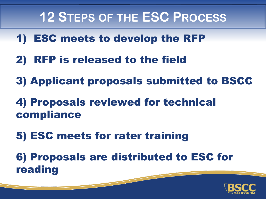#### **12 STEPS OF THE ESC PROCESS**

- 1) ESC meets to develop the RFP
- 2) RFP is released to the field
- 3) Applicant proposals submitted to BSCC
- 4) Proposals reviewed for technical compliance
- 5) ESC meets for rater training

6) Proposals are distributed to ESC for reading

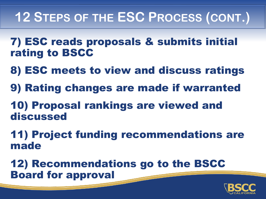## **12 STEPS OF THE ESC PROCESS (CONT.)**

- 7) ESC reads proposals & submits initial rating to BSCC
- 8) ESC meets to view and discuss ratings
- 9) Rating changes are made if warranted
- 10) Proposal rankings are viewed and discussed
- 11) Project funding recommendations are made

12) Recommendations go to the BSCC Board for approval

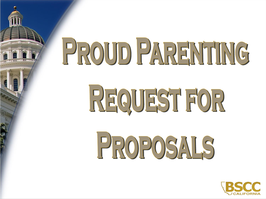## PROUD PARENTING

REQUEST FOR

PROPOSALS

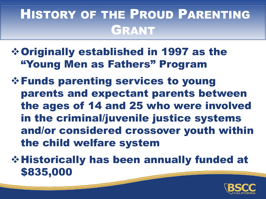## HISTORY OF THE PROUD PARENTING GRANT

- ❖Originally established in 1997 as the "Young Men as Fathers" Program
- ❖Funds parenting services to young parents and expectant parents between the ages of 14 and 25 who were involved in the criminal/juvenile justice systems and/or considered crossover youth within the child welfare system
- ❖Historically has been annually funded at \$835,000

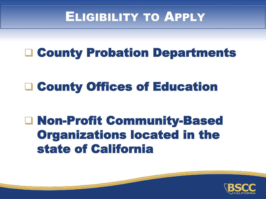#### ELIGIBILITY TO APPLY

#### County Probation Departments

## □ County Offices of Education

#### Non-Profit Community-Based Organizations located in the state of California

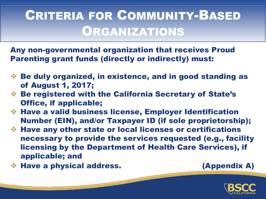## CRITERIA FOR COMMUNITY-BASED ORGANIZATIONS

Any non-governmental organization that receives Proud Parenting grant funds (directly or indirectly) must:

- ❖ Be duly organized, in existence, and in good standing as of August 1, 2017;
- ❖ Be registered with the California Secretary of State's Office, if applicable;
- ❖ Have a valid business license, Employer Identification Number (EIN), and/or Taxpayer ID (if sole proprietorship);
- ❖ Have any other state or local licenses or certifications necessary to provide the services requested (e.g., facility licensing by the Department of Health Care Services), if applicable; and
- ❖ Have a physical address. (Appendix A)

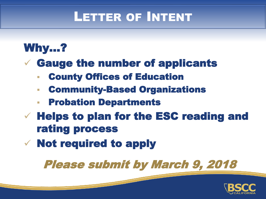#### LETTER OF INTENT

#### Why…?

 $\checkmark$  Gauge the number of applicants

- **County Offices of Education**
- Community-Based Organizations
- **Probation Departments**
- $\checkmark$  Helps to plan for the ESC reading and rating process
- ✓ Not required to apply

Please submit by March 9, 2018

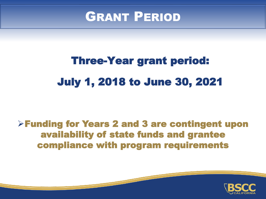

## Three-Year grant period: July 1, 2018 to June 30, 2021

#### ➢Funding for Years 2 and 3 are contingent upon availability of state funds and grantee compliance with program requirements

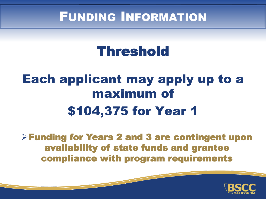#### FUNDING INFORMATION

## Threshold

## Each applicant may apply up to a maximum of \$104,375 for Year 1

➢Funding for Years 2 and 3 are contingent upon availability of state funds and grantee compliance with program requirements

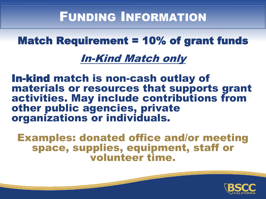#### FUNDING INFORMATION

#### Match Requirement = 10% of grant funds

#### In-Kind Match only

In-kind match is non-cash outlay of materials or resources that supports grant activities. May include contributions from other public agencies, private organizations or individuals.

Examples: donated office and/or meeting space, supplies, equipment, staff or volunteer time.

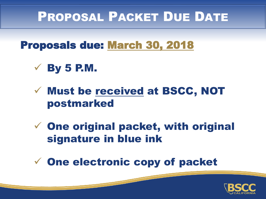#### PROPOSAL PACKET DUE DATE

Proposals due: March 30, 2018

- $\checkmark$  By 5 P.M.
- ✓ Must be received at BSCC, NOT postmarked
- $\checkmark$  One original packet, with original signature in blue ink
- ✓ One electronic copy of packet

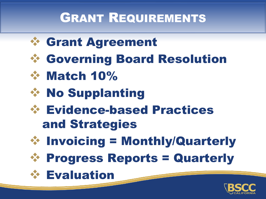## GRANT REQUIREMENTS





- ❖ Match 10%
- ❖ No Supplanting
- ❖ Evidence-based Practices and Strategies
- 
- ❖ Invoicing = Monthly/Quarterly
- ❖ Progress Reports = Quarterly
- ❖ Evaluation

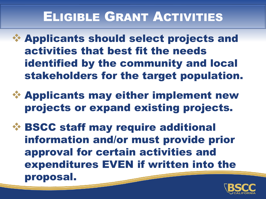## ELIGIBLE GRANT ACTIVITIES

- ❖ Applicants should select projects and activities that best fit the needs identified by the community and local stakeholders for the target population.
- ❖ Applicants may either implement new projects or expand existing projects.
- ❖ BSCC staff may require additional information and/or must provide prior approval for certain activities and expenditures EVEN if written into the proposal.

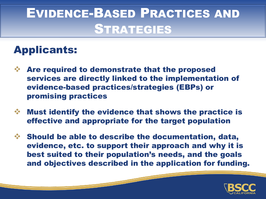## EVIDENCE-BASED PRACTICES AND STRATEGIES

#### Applicants:

- ❖ Are required to demonstrate that the proposed services are directly linked to the implementation of evidence-based practices/strategies (EBPs) or promising practices
- ❖ Must identify the evidence that shows the practice is effective and appropriate for the target population
- ❖ Should be able to describe the documentation, data, evidence, etc. to support their approach and why it is best suited to their population's needs, and the goals and objectives described in the application for funding.

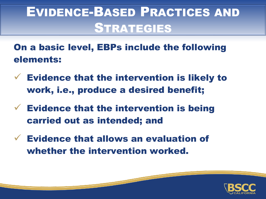## EVIDENCE-BASED PRACTICES AND **STRATEGIES**

On a basic level, EBPs include the following elements:

- $\checkmark$  Evidence that the intervention is likely to work, i.e., produce a desired benefit;
- $\checkmark$  Evidence that the intervention is being carried out as intended; and
- $\checkmark$  Evidence that allows an evaluation of whether the intervention worked.

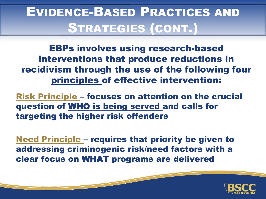## EVIDENCE-BASED PRACTICES AND STRATEGIES (CONT.)

EBPs involves using research-based interventions that produce reductions in recidivism through the use of the following four principles of effective intervention:

Risk Principle – focuses on attention on the crucial question of WHO is being served and calls for targeting the higher risk offenders

Need Principle – requires that priority be given to addressing criminogenic risk/need factors with a clear focus on WHAT programs are delivered

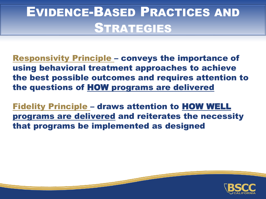## EVIDENCE-BASED PRACTICES AND **STRATEGIES**

Responsivity Principle – conveys the importance of using behavioral treatment approaches to achieve the best possible outcomes and requires attention to the questions of HOW programs are delivered

Fidelity Principle – draws attention to HOW WELL programs are delivered and reiterates the necessity that programs be implemented as designed

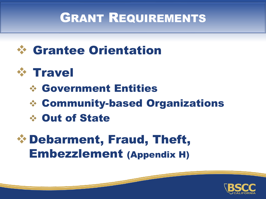#### GRANT REQUIREMENTS



#### ❖ Travel

#### ❖ Government Entities

- ❖ Community-based Organizations
- ❖ Out of State

#### ❖Debarment, Fraud, Theft, Embezzlement (Appendix H)

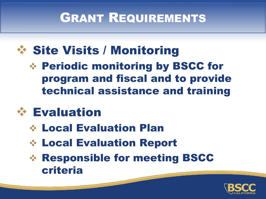## GRANT REQUIREMENTS

## ❖ Site Visits / Monitoring

❖ Periodic monitoring by BSCC for program and fiscal and to provide technical assistance and training

## ❖ Evaluation

- ❖ Local Evaluation Plan
- ❖ Local Evaluation Report
- ❖ Responsible for meeting BSCC criteria

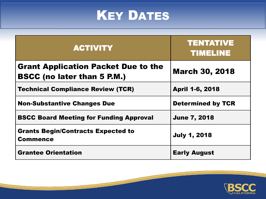## **KEY DATES**

| <b>ACTIVITY</b>                                                                  | <b>TENTATIVE</b><br><b>TIMELINE</b> |
|----------------------------------------------------------------------------------|-------------------------------------|
| <b>Grant Application Packet Due to the</b><br><b>BSCC (no later than 5 P.M.)</b> | <b>March 30, 2018</b>               |
| <b>Technical Compliance Review (TCR)</b>                                         | <b>April 1-6, 2018</b>              |
| <b>Non-Substantive Changes Due</b>                                               | <b>Determined by TCR</b>            |
| <b>BSCC Board Meeting for Funding Approval</b>                                   | <b>June 7, 2018</b>                 |
| <b>Grants Begin/Contracts Expected to</b><br><b>Commence</b>                     | <b>July 1, 2018</b>                 |
| <b>Grantee Orientation</b>                                                       | <b>Early August</b>                 |

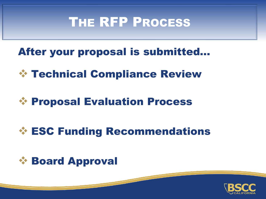#### THE RFP PROCESS

After your proposal is submitted…

❖ Technical Compliance Review

#### ❖ Proposal Evaluation Process

#### ❖ ESC Funding Recommendations



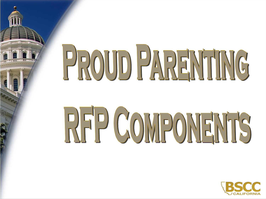## PROUD PARENTING

# RFP COMPONENTS

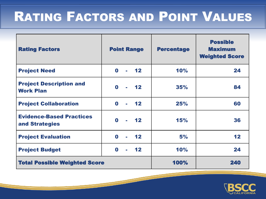## RATING FACTORS AND POINT VALUES

| <b>Rating Factors</b>                              | <b>Point Range</b>                               | <b>Percentage</b> | <b>Possible</b><br><b>Maximum</b><br><b>Weighted Score</b> |
|----------------------------------------------------|--------------------------------------------------|-------------------|------------------------------------------------------------|
| <b>Project Need</b>                                | $-12$<br>$\mathbf 0$                             | 10%               | 24                                                         |
| <b>Project Description and</b><br><b>Work Plan</b> | $\mathbf 0$<br>$-12$                             | 35%               | 84                                                         |
| <b>Project Collaboration</b>                       | $-12$<br>$\mathbf 0$<br>$\blacksquare$           | 25%               | 60                                                         |
| <b>Evidence-Based Practices</b><br>and Strategies  | $\mathbf 0$<br>$\blacksquare$ 12<br>$\mathbf{r}$ | 15%               | 36                                                         |
| <b>Project Evaluation</b>                          | $\mathbf 0$<br>12 <sub>2</sub><br>$\blacksquare$ | 5%                | 12                                                         |
| <b>Project Budget</b>                              | $\mathbf 0$<br>$\overline{12}$<br>$\mathbf{r}$   | 10%               | 24                                                         |
| <b>Total Possible Weighted Score</b>               |                                                  | 100%              | 240                                                        |

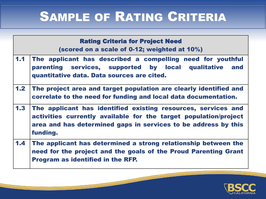## SAMPLE OF RATING CRITERIA

| <b>Rating Criteria for Project Need</b><br>(scored on a scale of 0-12; weighted at 10%) |                                                                                                                                                                                                                 |  |  |  |
|-----------------------------------------------------------------------------------------|-----------------------------------------------------------------------------------------------------------------------------------------------------------------------------------------------------------------|--|--|--|
| 1.1                                                                                     | The applicant has described a compelling need for youthful<br>parenting services, supported by local qualitative<br>and<br>quantitative data. Data sources are cited.                                           |  |  |  |
| 1.2 <sub>1</sub>                                                                        | The project area and target population are clearly identified and<br>correlate to the need for funding and local data documentation.                                                                            |  |  |  |
| 1.3                                                                                     | The applicant has identified existing resources, services and<br>activities currently available for the target population/project<br>area and has determined gaps in services to be address by this<br>funding. |  |  |  |
| 1.4 <sub>1</sub>                                                                        | The applicant has determined a strong relationship between the<br>need for the project and the goals of the Proud Parenting Grant<br><b>Program as identified in the RFP.</b>                                   |  |  |  |

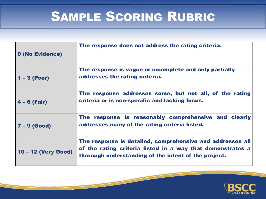## SAMPLE SCORING RUBRIC

| 0 (No Evidence)     | The response does not address the rating criteria.                                                                                                                              |
|---------------------|---------------------------------------------------------------------------------------------------------------------------------------------------------------------------------|
| $1 - 3$ (Poor)      | The response is vague or incomplete and only partially<br>addresses the rating criteria.                                                                                        |
| $4 - 6$ (Fair)      | The response addresses some, but not all, of the rating<br>criteria or is non-specific and lacking focus.                                                                       |
| $7 - 9$ (Good)      | The response is reasonably comprehensive and clearly<br>addresses many of the rating criteria listed.                                                                           |
| 10 - 12 (Very Good) | The response is detailed, comprehensive and addresses all<br>of the rating criteria listed in a way that demonstrates a<br>thorough understanding of the intent of the project. |

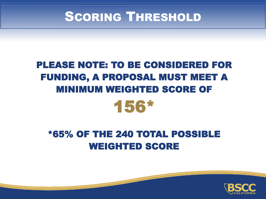#### **SCORING THRESHOLD**

#### PLEASE NOTE: TO BE CONSIDERED FOR FUNDING, A PROPOSAL MUST MEET A MINIMUM WEIGHTED SCORE OF



#### \*65% OF THE 240 TOTAL POSSIBLE WEIGHTED SCORE

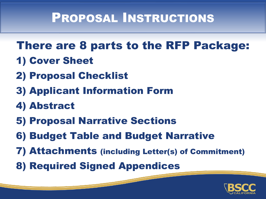#### There are 8 parts to the RFP Package:

- 1) Cover Sheet
- 2) Proposal Checklist
- 3) Applicant Information Form
- 4) Abstract
- 5) Proposal Narrative Sections
- 6) Budget Table and Budget Narrative
- 7) Attachments (including Letter(s) of Commitment)
- 8) Required Signed Appendices

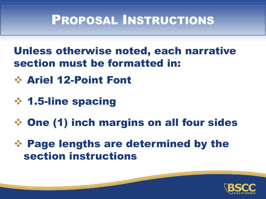#### Unless otherwise noted, each narrative section must be formatted in:

- ❖ Ariel 12-Point Font
- ❖ 1.5-line spacing
- ❖ One (1) inch margins on all four sides
- ❖ Page lengths are determined by the section instructions

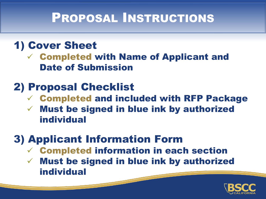#### 1) Cover Sheet

✓ Completed with Name of Applicant and Date of Submission

#### 2) Proposal Checklist

- ✓ Completed and included with RFP Package
- ✓ Must be signed in blue ink by authorized individual

#### 3) Applicant Information Form

- ✓ Completed information in each section
- ✓ Must be signed in blue ink by authorized individual

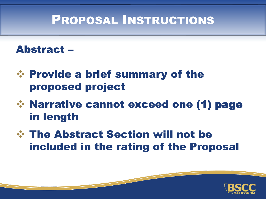#### Abstract –

- ❖ Provide a brief summary of the proposed project
- ❖ Narrative cannot exceed one (1) page in length
- ❖ The Abstract Section will not be included in the rating of the Proposal

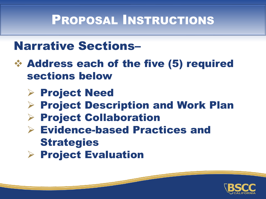#### Narrative Sections–

- ❖ Address each of the five (5) required sections below
	- ➢ Project Need
	- ➢ Project Description and Work Plan
	- ➢ Project Collaboration
	- ➢ Evidence-based Practices and **Strategies**
	- ➢ Project Evaluation

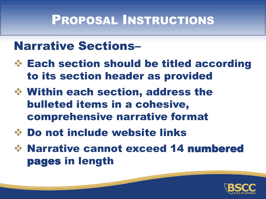#### Narrative Sections–

- ❖ Each section should be titled according to its section header as provided
- ❖ Within each section, address the bulleted items in a cohesive, comprehensive narrative format
- ❖ Do not include website links
- ❖ Narrative cannot exceed 14 numbered pages in length

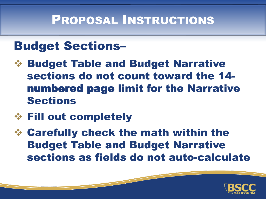#### Budget Sections–

- ❖ Budget Table and Budget Narrative sections do not count toward the 14 numbered page limit for the Narrative Sections
- ❖ Fill out completely
- ❖ Carefully check the math within the Budget Table and Budget Narrative sections as fields do not auto-calculate

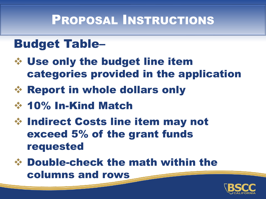#### Budget Table–

- ❖ Use only the budget line item categories provided in the application
- ❖ Report in whole dollars only
- ❖ 10% In-Kind Match
- ❖ Indirect Costs line item may not exceed 5% of the grant funds requested
- ❖ Double-check the math within the columns and rows

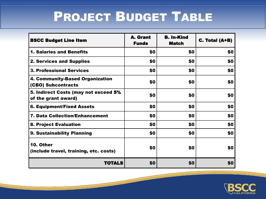## PROJECT BUDGET TABLE

| <b>BSCC Budget Line Item</b>                                | <b>A.</b> Grant<br><b>Funds</b> | <b>B. In-Kind</b><br><b>Match</b> | C. Total (A+B) |
|-------------------------------------------------------------|---------------------------------|-----------------------------------|----------------|
| <b>1. Salaries and Benefits</b>                             | \$0                             | \$0                               | \$0            |
| <b>2. Services and Supplies</b>                             | \$0                             | \$0                               | \$0            |
| <b>3. Professional Services</b>                             | \$0                             | \$0                               | \$0            |
| 4. Community-Based Organization<br>(CBO) Subcontracts       | \$0                             | \$0                               | \$0            |
| 5. Indirect Costs (may not exceed 5%<br>of the grant award) | \$0                             | \$0                               | \$0            |
| <b>6. Equipment/Fixed Assets</b>                            | \$0                             | \$0                               | \$0            |
| <b>7. Data Collection/Enhancement</b>                       | \$0                             | \$0                               | \$0            |
| <b>8. Project Evaluation</b>                                | \$0                             | \$0                               | \$0            |
| 9. Sustainability Planning                                  | \$0                             | \$0                               | \$0            |
| 10. Other<br>(include travel, training, etc. costs)         | \$0                             | \$0                               | \$0            |
| <b>TOTALS</b>                                               | \$0                             | \$0                               | \$0            |

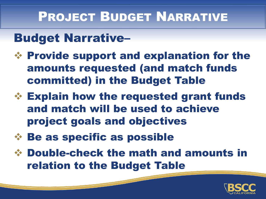#### PROJECT BUDGET NARRATIVE

#### Budget Narrative–

- ❖ Provide support and explanation for the amounts requested (and match funds committed) in the Budget Table
- ❖ Explain how the requested grant funds and match will be used to achieve project goals and objectives
- ❖ Be as specific as possible
- ❖ Double-check the math and amounts in relation to the Budget Table

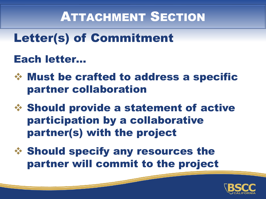## ATTACHMENT SECTION

Letter(s) of Commitment

#### Each letter…

- ❖ Must be crafted to address a specific partner collaboration
- ❖ Should provide a statement of active participation by a collaborative partner(s) with the project
- ❖ Should specify any resources the partner will commit to the project

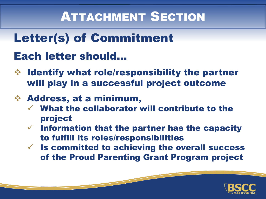## ATTACHMENT SECTION

#### Letter(s) of Commitment

#### Each letter should…

❖ Identify what role/responsibility the partner will play in a successful project outcome

#### ❖ Address, at a minimum,

- What the collaborator will contribute to the project
- $\checkmark$  Information that the partner has the capacity to fulfill its roles/responsibilities
- $\checkmark$  Is committed to achieving the overall success of the Proud Parenting Grant Program project

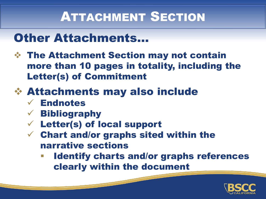## ATTACHMENT SECTION

#### Other Attachments…

❖ The Attachment Section may not contain more than 10 pages in totality, including the Letter(s) of Commitment

#### ❖ Attachments may also include

- ✓ Endnotes
- $\checkmark$  Bibliography
- ✓ Letter(s) of local support
- $\checkmark$  Chart and/or graphs sited within the narrative sections
	- **Identify charts and/or graphs references** clearly within the document

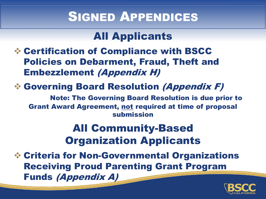#### SIGNED APPENDICES

#### All Applicants

❖ Certification of Compliance with BSCC Policies on Debarment, Fraud, Theft and Embezzlement (Appendix H)

#### ❖ Governing Board Resolution (Appendix F)

Note: The Governing Board Resolution is due prior to Grant Award Agreement, not required at time of proposal submission

#### All Community-Based Organization Applicants

❖ Criteria for Non-Governmental Organizations Receiving Proud Parenting Grant Program Funds (Appendix A)

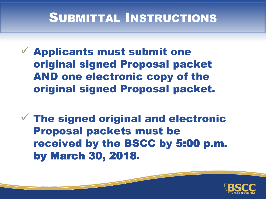## SUBMITTAL INSTRUCTIONS

- $\checkmark$  Applicants must submit one original signed Proposal packet AND one electronic copy of the original signed Proposal packet.
- $\checkmark$  The signed original and electronic Proposal packets must be received by the BSCC by 5:00 p.m. by March 30, 2018.

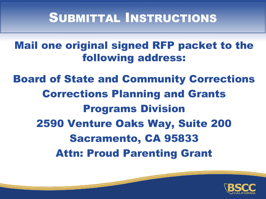#### SUBMITTAL INSTRUCTIONS

#### Mail one original signed RFP packet to the following address:

#### Board of State and Community Corrections Corrections Planning and Grants Programs Division 2590 Venture Oaks Way, Suite 200 Sacramento, CA 95833 Attn: Proud Parenting Grant

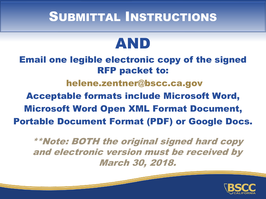#### SUBMITTAL INSTRUCTIONS

## AND

Email one legible electronic copy of the signed RFP packet to: helene.zentner@bscc.ca.gov Acceptable formats include Microsoft Word, Microsoft Word Open XML Format Document, Portable Document Format (PDF) or Google Docs.

\*\*Note: BOTH the original signed hard copy and electronic version must be received by March 30, 2018.

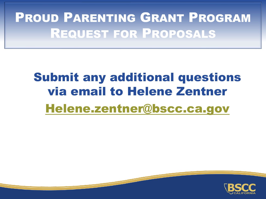## PROUD PARENTING GRANT PROGRAM REQUEST FOR PROPOSALS

## Submit any additional questions via email to Helene Zentner [Helene.zentner@bscc.ca.gov](mailto:Helene.zentner@bscc.ca.gov)

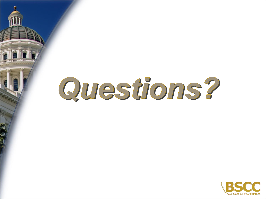## Questions?